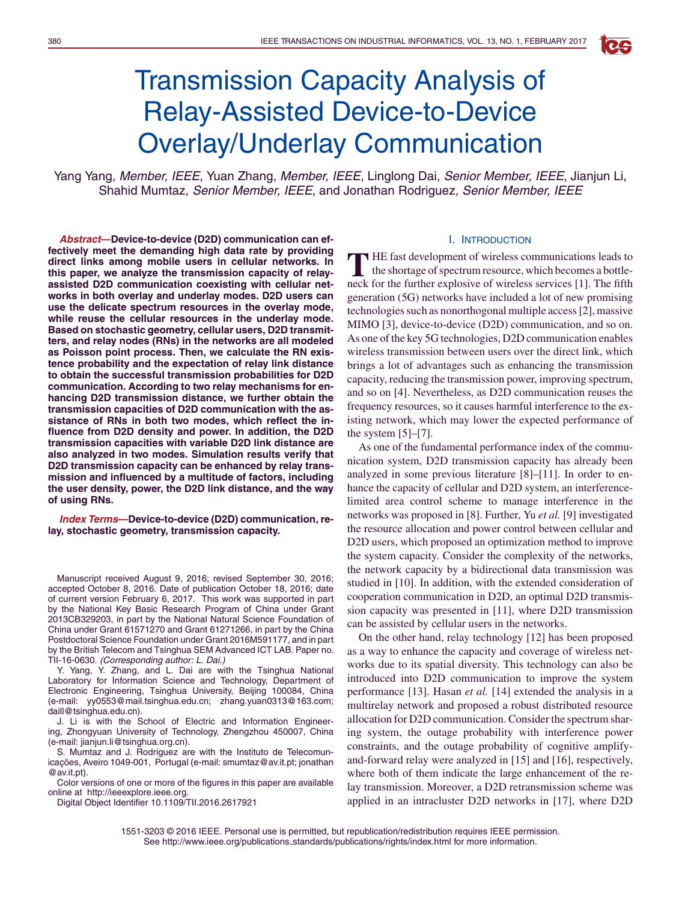# Transmission Capacity Analysis of Relay-Assisted Device-to-Device Overlay/Underlay Communication

Yang Yang*, Member, IEEE*, Yuan Zhang*, Member, IEEE*, Linglong Dai*, Senior Member, IEEE*, Jianjun Li, Shahid Mumtaz*, Senior Member, IEEE*, and Jonathan Rodriguez*, Senior Member, IEEE*

*Abstract***—Device-to-device (D2D) communication can effectively meet the demanding high data rate by providing direct links among mobile users in cellular networks. In this paper, we analyze the transmission capacity of relayassisted D2D communication coexisting with cellular networks in both overlay and underlay modes. D2D users can use the delicate spectrum resources in the overlay mode, while reuse the cellular resources in the underlay mode. Based on stochastic geometry, cellular users, D2D transmitters, and relay nodes (RNs) in the networks are all modeled as Poisson point process. Then, we calculate the RN existence probability and the expectation of relay link distance to obtain the successful transmission probabilities for D2D communication. According to two relay mechanisms for enhancing D2D transmission distance, we further obtain the transmission capacities of D2D communication with the assistance of RNs in both two modes, which reflect the influence from D2D density and power. In addition, the D2D transmission capacities with variable D2D link distance are also analyzed in two modes. Simulation results verify that D2D transmission capacity can be enhanced by relay transmission and influenced by a multitude of factors, including the user density, power, the D2D link distance, and the way of using RNs.**

*Index Terms***—Device-to-device (D2D) communication, relay, stochastic geometry, transmission capacity.**

Manuscript received August 9, 2016; revised September 30, 2016; accepted October 8, 2016. Date of publication October 18, 2016; date of current version February 6, 2017. This work was supported in part by the National Key Basic Research Program of China under Grant 2013CB329203, in part by the National Natural Science Foundation of China under Grant 61571270 and Grant 61271266, in part by the China Postdoctoral Science Foundation under Grant 2016M591177, and in part by the British Telecom and Tsinghua SEM Advanced ICT LAB. Paper no. TII-16-0630. *(Corresponding author: L. Dai.)*

Y. Yang, Y. Zhang, and L. Dai are with the Tsinghua National Laboratory for Information Science and Technology, Department of Electronic Engineering, Tsinghua University, Beijing 100084, China (e-mail: yy0553@mail.tsinghua.edu.cn; zhang.yuan0313@163.com; daill@tsinghua.edu.cn).

J. Li is with the School of Electric and Information Engineering, Zhongyuan University of Technology, Zhengzhou 450007, China (e-mail: jianjun.li@tsinghua.org.cn).

S. Mumtaz and J. Rodriguez are with the Instituto de Telecomunicações, Aveiro 1049-001, Portugal (e-mail: smumtaz@av.it.pt; jonathan @av.it.pt).

Color versions of one or more of the figures in this paper are available online at http://ieeexplore.ieee.org.

Digital Object Identifier 10.1109/TII.2016.2617921

#### I. INTRODUCTION

**RG** 

**T** HE fast development of wireless communications leads to the shortage of spectrum resource, which becomes a bottleneck for the further explosive of wireless services [1]. The fifth generation (5G) networks have included a lot of new promising technologies such as nonorthogonal multiple access [2], massive MIMO [3], device-to-device (D2D) communication, and so on. As one of the key 5G technologies, D2D communication enables wireless transmission between users over the direct link, which brings a lot of advantages such as enhancing the transmission capacity, reducing the transmission power, improving spectrum, and so on [4]. Nevertheless, as D2D communication reuses the frequency resources, so it causes harmful interference to the existing network, which may lower the expected performance of the system  $[5]-[7]$ .

As one of the fundamental performance index of the communication system, D2D transmission capacity has already been analyzed in some previous literature [8]–[11]. In order to enhance the capacity of cellular and D2D system, an interferencelimited area control scheme to manage interference in the networks was proposed in [8]. Further, Yu *et al.* [9] investigated the resource allocation and power control between cellular and D2D users, which proposed an optimization method to improve the system capacity. Consider the complexity of the networks, the network capacity by a bidirectional data transmission was studied in [10]. In addition, with the extended consideration of cooperation communication in D2D, an optimal D2D transmission capacity was presented in [11], where D2D transmission can be assisted by cellular users in the networks.

On the other hand, relay technology [12] has been proposed as a way to enhance the capacity and coverage of wireless networks due to its spatial diversity. This technology can also be introduced into D2D communication to improve the system performance [13]. Hasan *et al.* [14] extended the analysis in a multirelay network and proposed a robust distributed resource allocation for D2D communication. Consider the spectrum sharing system, the outage probability with interference power constraints, and the outage probability of cognitive amplifyand-forward relay were analyzed in [15] and [16], respectively, where both of them indicate the large enhancement of the relay transmission. Moreover, a D2D retransmission scheme was applied in an intracluster D2D networks in [17], where D2D

1551-3203 © 2016 IEEE. Personal use is permitted, but republication/redistribution requires IEEE permission. See http://www.ieee.org/publications standards/publications/rights/index.html for more information.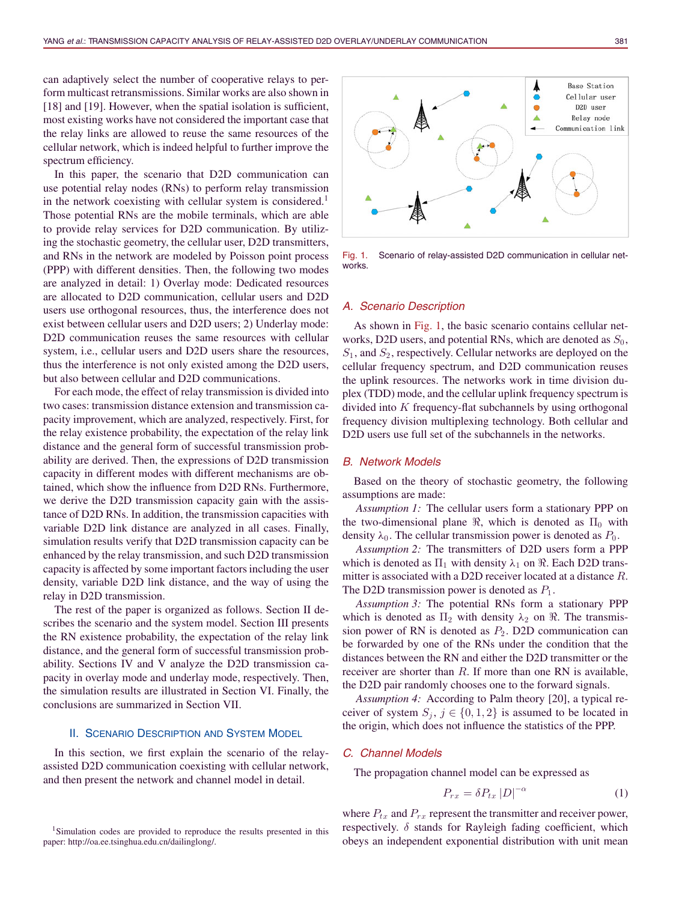can adaptively select the number of cooperative relays to perform multicast retransmissions. Similar works are also shown in [18] and [19]. However, when the spatial isolation is sufficient, most existing works have not considered the important case that the relay links are allowed to reuse the same resources of the cellular network, which is indeed helpful to further improve the spectrum efficiency.

In this paper, the scenario that D2D communication can use potential relay nodes (RNs) to perform relay transmission in the network coexisting with cellular system is considered.<sup>1</sup> Those potential RNs are the mobile terminals, which are able to provide relay services for D2D communication. By utilizing the stochastic geometry, the cellular user, D2D transmitters, and RNs in the network are modeled by Poisson point process (PPP) with different densities. Then, the following two modes are analyzed in detail: 1) Overlay mode: Dedicated resources are allocated to D2D communication, cellular users and D2D users use orthogonal resources, thus, the interference does not exist between cellular users and D2D users; 2) Underlay mode: D2D communication reuses the same resources with cellular system, i.e., cellular users and D2D users share the resources, thus the interference is not only existed among the D2D users, but also between cellular and D2D communications.

For each mode, the effect of relay transmission is divided into two cases: transmission distance extension and transmission capacity improvement, which are analyzed, respectively. First, for the relay existence probability, the expectation of the relay link distance and the general form of successful transmission probability are derived. Then, the expressions of D2D transmission capacity in different modes with different mechanisms are obtained, which show the influence from D2D RNs. Furthermore, we derive the D2D transmission capacity gain with the assistance of D2D RNs. In addition, the transmission capacities with variable D2D link distance are analyzed in all cases. Finally, simulation results verify that D2D transmission capacity can be enhanced by the relay transmission, and such D2D transmission capacity is affected by some important factors including the user density, variable D2D link distance, and the way of using the relay in D2D transmission.

The rest of the paper is organized as follows. Section II describes the scenario and the system model. Section III presents the RN existence probability, the expectation of the relay link distance, and the general form of successful transmission probability. Sections IV and V analyze the D2D transmission capacity in overlay mode and underlay mode, respectively. Then, the simulation results are illustrated in Section VI. Finally, the conclusions are summarized in Section VII.

## II. SCENARIO DESCRIPTION AND SYSTEM MODEL

In this section, we first explain the scenario of the relayassisted D2D communication coexisting with cellular network, and then present the network and channel model in detail.



Fig. 1. Scenario of relay-assisted D2D communication in cellular networks.

## *A. Scenario Description*

As shown in Fig. 1, the basic scenario contains cellular networks, D2D users, and potential RNs, which are denoted as  $S_0$ ,  $S_1$ , and  $S_2$ , respectively. Cellular networks are deployed on the cellular frequency spectrum, and D2D communication reuses the uplink resources. The networks work in time division duplex (TDD) mode, and the cellular uplink frequency spectrum is divided into  $K$  frequency-flat subchannels by using orthogonal frequency division multiplexing technology. Both cellular and D2D users use full set of the subchannels in the networks.

#### *B. Network Models*

Based on the theory of stochastic geometry, the following assumptions are made:

*Assumption 1:* The cellular users form a stationary PPP on the two-dimensional plane  $\Re$ , which is denoted as  $\Pi_0$  with density  $\lambda_0$ . The cellular transmission power is denoted as  $P_0$ .

*Assumption 2:* The transmitters of D2D users form a PPP which is denoted as  $\Pi_1$  with density  $\lambda_1$  on  $\Re$ . Each D2D transmitter is associated with a D2D receiver located at a distance R. The D2D transmission power is denoted as  $P_1$ .

*Assumption 3:* The potential RNs form a stationary PPP which is denoted as  $\Pi_2$  with density  $\lambda_2$  on  $\Re$ . The transmission power of RN is denoted as  $P_2$ . D2D communication can be forwarded by one of the RNs under the condition that the distances between the RN and either the D2D transmitter or the receiver are shorter than  $R$ . If more than one RN is available, the D2D pair randomly chooses one to the forward signals.

*Assumption 4:* According to Palm theory [20], a typical receiver of system  $S_j$ ,  $j \in \{0, 1, 2\}$  is assumed to be located in the origin, which does not influence the statistics of the PPP.

#### *C. Channel Models*

The propagation channel model can be expressed as

$$
P_{rx} = \delta P_{tx} \left| D \right|^{-\alpha} \tag{1}
$$

where  $P_{tx}$  and  $P_{rx}$  represent the transmitter and receiver power, respectively.  $\delta$  stands for Rayleigh fading coefficient, which obeys an independent exponential distribution with unit mean

<sup>&</sup>lt;sup>1</sup>Simulation codes are provided to reproduce the results presented in this paper: http://oa.ee.tsinghua.edu.cn/dailinglong/.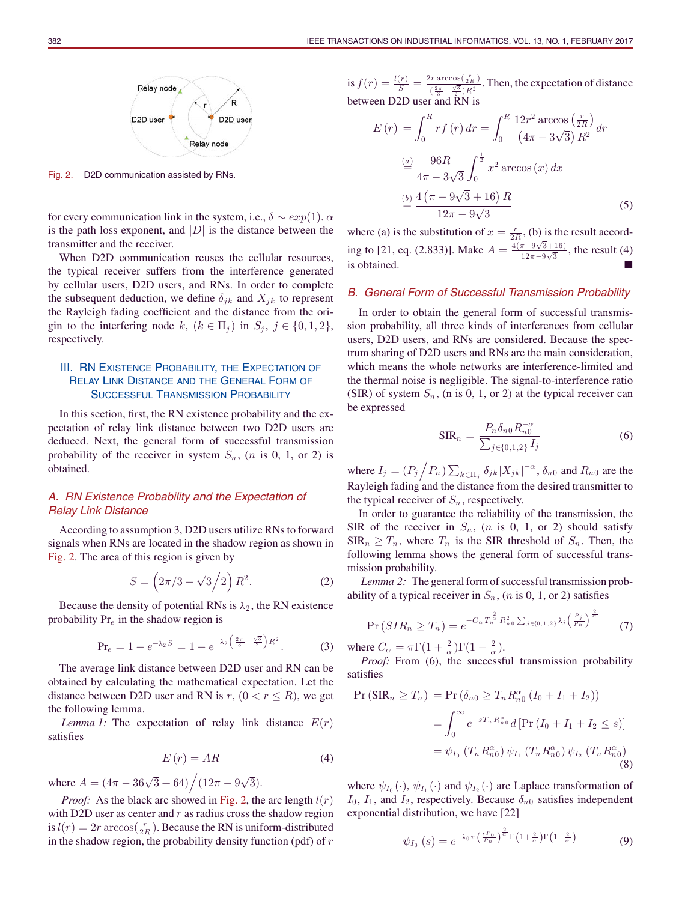

Fig. 2. D2D communication assisted by RNs.

for every communication link in the system, i.e.,  $\delta \sim exp(1)$ .  $\alpha$ is the path loss exponent, and  $|D|$  is the distance between the transmitter and the receiver.

When D2D communication reuses the cellular resources, the typical receiver suffers from the interference generated by cellular users, D2D users, and RNs. In order to complete the subsequent deduction, we define  $\delta_{jk}$  and  $X_{jk}$  to represent the Rayleigh fading coefficient and the distance from the origin to the interfering node k,  $(k \in \Pi_i)$  in  $S_i$ ,  $j \in \{0, 1, 2\}$ , respectively.

# III. RN EXISTENCE PROBABILITY, THE EXPECTATION OF RELAY LINK DISTANCE AND THE GENERAL FORM OF SUCCESSFUL TRANSMISSION PROBABILITY

In this section, first, the RN existence probability and the expectation of relay link distance between two D2D users are deduced. Next, the general form of successful transmission probability of the receiver in system  $S_n$ ,  $(n \text{ is } 0, 1, \text{ or } 2)$  is obtained.

## *A. RN Existence Probability and the Expectation of Relay Link Distance*

According to assumption 3, D2D users utilize RNs to forward signals when RNs are located in the shadow region as shown in Fig. 2. The area of this region is given by

$$
S = (2\pi/3 - \sqrt{3}/2) R^2.
$$
 (2)

Because the density of potential RNs is  $\lambda_2$ , the RN existence probability  $Pr_e$  in the shadow region is

$$
\Pr_e = 1 - e^{-\lambda_2 S} = 1 - e^{-\lambda_2 \left(\frac{2\pi}{3} - \frac{\sqrt{3}}{2}\right) R^2}.
$$
 (3)

The average link distance between D2D user and RN can be obtained by calculating the mathematical expectation. Let the distance between D2D user and RN is r,  $(0 < r \le R)$ , we get the following lemma.

*Lemma 1:* The expectation of relay link distance  $E(r)$ satisfies

$$
E(r) = AR \tag{4}
$$

where  $A = (4\pi - 36\sqrt{3} + 64) / (12\pi - 9\sqrt{3}).$ 

*Proof:* As the black arc showed in Fig. 2, the arc length  $l(r)$ with D2D user as center and  $r$  as radius cross the shadow region is  $l(r) = 2r \arccos(\frac{r}{2R})$ . Because the RN is uniform-distributed in the shadow region, the probability density function (pdf) of  $r$ 

is  $f(r) = \frac{l(r)}{S} = \frac{2r \arccos(\frac{r}{2R})}{(2\pi - \sqrt{3})R^2}$  $\frac{\pi}{(2\pi)}\frac{\sqrt{3}}{2\pi}$  Then, the expectation of distance between D2D user and RN is

$$
E(r) = \int_0^R rf(r) dr = \int_0^R \frac{12r^2 \arccos(\frac{r}{2R})}{(4\pi - 3\sqrt{3}) R^2} dr
$$
  

$$
\stackrel{(a)}{=} \frac{96R}{4\pi - 3\sqrt{3}} \int_0^{\frac{1}{2}} x^2 \arccos(x) dx
$$
  

$$
\stackrel{(b)}{=} \frac{4(\pi - 9\sqrt{3} + 16) R}{12\pi - 9\sqrt{3}}
$$
 (5)

where (a) is the substitution of  $x = \frac{r}{2R}$ , (b) is the result according to [21, eq. (2.833)]. Make  $A = \frac{4(\pi - 9\sqrt{3} + 16)}{12\pi (9\sqrt{3})}$  $\frac{\pi - 9\sqrt{3} + 10}{12\pi - 9\sqrt{3}}$ , the result (4) is obtained.

#### *B. General Form of Successful Transmission Probability*

In order to obtain the general form of successful transmission probability, all three kinds of interferences from cellular users, D2D users, and RNs are considered. Because the spectrum sharing of D2D users and RNs are the main consideration, which means the whole networks are interference-limited and the thermal noise is negligible. The signal-to-interference ratio (SIR) of system  $S_n$ , (n is 0, 1, or 2) at the typical receiver can be expressed

$$
SIR_n = \frac{P_n \delta_{n0} R_{n0}^{-\alpha}}{\sum_{j \in \{0,1,2\}} I_j}
$$
 (6)

where  $I_j = (P_j \nvert P_n) \sum_{k \in \Pi_j} \delta_{jk} |X_{jk}|^{-\alpha}, \delta_{n0}$  and  $R_{n0}$  are the Rayleigh fading and the distance from the desired transmitter to the typical receiver of  $S_n$ , respectively.

In order to guarantee the reliability of the transmission, the SIR of the receiver in  $S_n$ ,  $(n \text{ is } 0, 1, \text{ or } 2)$  should satisfy  $SIR_n \geq T_n$ , where  $T_n$  is the SIR threshold of  $S_n$ . Then, the following lemma shows the general form of successful transmission probability.

*Lemma 2:* The general form of successful transmission probability of a typical receiver in  $S_n$ ,  $(n \text{ is } 0, 1, \text{ or } 2)$  satisfies

$$
\Pr\left(SIR_n \ge T_n\right) = e^{-C_\alpha T_n^{\frac{2}{\alpha}} R_{n0}^2 \sum_{j \in \{0,1,2\}} \lambda_j \left(\frac{P_j}{P_n}\right)^{\frac{2}{\alpha}}} \tag{7}
$$

where  $C_{\alpha} = \pi \Gamma(1 + \frac{2}{\alpha})\Gamma(1 - \frac{2}{\alpha}).$ 

*Proof:* From (6), the successful transmission probability satisfies

$$
\Pr\left(\text{SIR}_n \ge T_n\right) = \Pr\left(\delta_{n0} \ge T_n R_{n0}^{\alpha} \left(I_0 + I_1 + I_2\right)\right)
$$
  
= 
$$
\int_0^{\infty} e^{-sT_n R_{n0}^{\alpha}} d\left[\Pr\left(I_0 + I_1 + I_2 \le s\right)\right]
$$
  
= 
$$
\psi_{I_0} \left(T_n R_{n0}^{\alpha}\right) \psi_{I_1} \left(T_n R_{n0}^{\alpha}\right) \psi_{I_2} \left(T_n R_{n0}^{\alpha}\right)
$$
 (8)

where  $\psi_{I_0}(\cdot), \psi_{I_1}(\cdot)$  and  $\psi_{I_2}(\cdot)$  are Laplace transformation of  $I_0$ ,  $I_1$ , and  $I_2$ , respectively. Because  $\delta_{n0}$  satisfies independent exponential distribution, we have [22]

$$
\psi_{I_0}(s) = e^{-\lambda_0 \pi \left(\frac{s P_0}{P_n}\right)^{\frac{2}{\alpha}} \Gamma\left(1 + \frac{2}{\alpha}\right) \Gamma\left(1 - \frac{2}{\alpha}\right)}
$$
(9)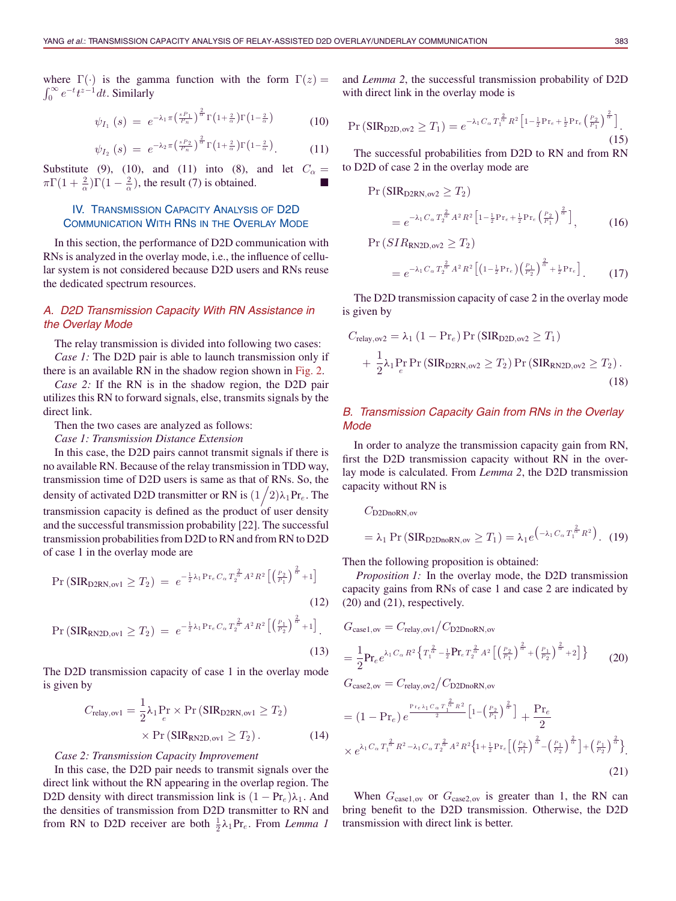where  $\Gamma(\cdot)$  is the gamma function with the form  $\Gamma(z) =$  $\int_0^\infty e^{-t} t^{z-1} dt$ . Similarly

$$
\psi_{I_1}\left(s\right) \;=\; e^{-\lambda_1 \pi \left(\frac{s P_1}{P_n}\right)^{\frac{2}{\alpha}} \Gamma\left(1+\frac{2}{\alpha}\right) \Gamma\left(1-\frac{2}{\alpha}\right)}\tag{10}
$$

$$
\psi_{I_2}\left(s\right) \;=\; e^{-\lambda_2 \pi \left(\frac{s \, P_2}{P_n}\right)^{\frac{2}{\alpha}} \Gamma\left(1+\frac{2}{\alpha}\right) \Gamma\left(1-\frac{2}{\alpha}\right)}.\tag{11}
$$

Substitute (9), (10), and (11) into (8), and let  $C_{\alpha} =$  $\pi\Gamma(1+\frac{2}{\alpha})\Gamma(1-\frac{2}{\alpha})$ , the result (7) is obtained.

## IV. TRANSMISSION CAPACITY ANALYSIS OF D2D COMMUNICATION WITH RNS IN THE OVERLAY MODE

In this section, the performance of D2D communication with RNs is analyzed in the overlay mode, i.e., the influence of cellular system is not considered because D2D users and RNs reuse the dedicated spectrum resources.

# *A. D2D Transmission Capacity With RN Assistance in the Overlay Mode*

The relay transmission is divided into following two cases: *Case 1:* The D2D pair is able to launch transmission only if there is an available RN in the shadow region shown in Fig. 2.

*Case 2:* If the RN is in the shadow region, the D2D pair utilizes this RN to forward signals, else, transmits signals by the direct link.

Then the two cases are analyzed as follows:

*Case 1: Transmission Distance Extension*

In this case, the D2D pairs cannot transmit signals if there is no available RN. Because of the relay transmission in TDD way, transmission time of D2D users is same as that of RNs. So, the density of activated D2D transmitter or RN is  $(1/2)\lambda_1 \text{Pr}_e$ . The transmission capacity is defined as the product of user density and the successful transmission probability [22]. The successful transmission probabilities from D2D to RN and from RN to D2D of case 1 in the overlay mode are

$$
\Pr\left(\text{SIR}_{\text{D2RN},\text{ov1}} \ge T_2\right) \ = \ e^{-\frac{1}{2}\lambda_1 \Pr_e C_\alpha \, T_2^{\frac{2}{\alpha}} A^2 \, R^2 \left[\left(\frac{P_2}{P_1}\right)^{\frac{2}{\alpha}} + 1\right]} \tag{12}
$$

$$
\Pr\left(\text{SIR}_{\text{RN2D},\text{ov1}} \ge T_2\right) = e^{-\frac{1}{2}\lambda_1 \Pr_e C_\alpha T_2^{\frac{2}{\alpha}} A^2 R^2 \left[\left(\frac{P_1}{P_2}\right)^{\frac{2}{\alpha}} + 1\right]}.
$$
\n(13)

The D2D transmission capacity of case 1 in the overlay mode is given by

$$
C_{\text{relay,ov1}} = \frac{1}{2} \lambda_1 P_{e} \times \Pr\left(\text{SIR}_{\text{D2RN,ov1}} \ge T_2\right) \times \Pr\left(\text{SIR}_{\text{RN2D,ov1}} \ge T_2\right). \tag{14}
$$

#### *Case 2: Transmission Capacity Improvement*

In this case, the D2D pair needs to transmit signals over the direct link without the RN appearing in the overlap region. The D2D density with direct transmission link is  $(1 - Pr_e)\lambda_1$ . And the densities of transmission from D2D transmitter to RN and from RN to D2D receiver are both  $\frac{1}{2}\lambda_1 Pr_e$ . From *Lemma 1* 

and *Lemma 2*, the successful transmission probability of D2D with direct link in the overlay mode is

$$
\Pr\left(\text{SIR}_{\text{D2D},\text{ov2}} \geq T_1\right) = e^{-\lambda_1 C_\alpha T_1^{\frac{2}{\alpha}} R^2 \left[1 - \frac{1}{2} \Pr_e + \frac{1}{2} \Pr_e \left(\frac{P_2}{P_1}\right)^{\frac{2}{\alpha}}\right]}.
$$
\n(15)

The successful probabilities from D2D to RN and from RN to D2D of case 2 in the overlay mode are

$$
\Pr\left(\text{SIR}_{\text{D2RN},\text{ov2}} \ge T_2\right)
$$
\n
$$
= e^{-\lambda_1 C_\alpha T_2^{\frac{2}{\alpha}} A^2 R^2 \left[1 - \frac{1}{2} \Pr_e + \frac{1}{2} \Pr_e \left(\frac{P_2}{P_1}\right)^{\frac{2}{\alpha}}\right]},\tag{16}
$$

$$
Pr(SIR_{RN2D,ov2} \geq T_2)
$$

$$
=e^{-\lambda_1 C_\alpha T_2^{\frac{2}{\alpha}} A^2 R^2 \left[ \left(1 - \frac{1}{2} \Pr_e \right) \left( \frac{P_1}{P_2} \right)^{\frac{2}{\alpha}} + \frac{1}{2} \Pr_e \right]}.
$$
 (17)

The D2D transmission capacity of case 2 in the overlay mode is given by

$$
C_{\text{relay,ov2}} = \lambda_1 (1 - \text{Pr}_e) \Pr(\text{SIR}_{\text{D2D,ov2}} \ge T_1)
$$
  
+ 
$$
\frac{1}{2} \lambda_1 \Pr_e \Pr(\text{SIR}_{\text{D2RN,ov2}} \ge T_2) \Pr(\text{SIR}_{\text{RN2D,ov2}} \ge T_2).
$$
 (18)

## *B. Transmission Capacity Gain from RNs in the Overlay Mode*

In order to analyze the transmission capacity gain from RN, first the D2D transmission capacity without RN in the overlay mode is calculated. From *Lemma 2*, the D2D transmission capacity without RN is

 $C_{\text{D2DnoRN},ov}$ 

$$
= \lambda_1 \Pr\left(\text{SIR}_{\text{D2DnoRN},ov} \geq T_1\right) = \lambda_1 e^{\left(-\lambda_1 C_\alpha T_1^{\frac{2}{\alpha}} R^2\right)}.
$$
 (19)

Then the following proposition is obtained:

*Proposition 1:* In the overlay mode, the D2D transmission capacity gains from RNs of case 1 and case 2 are indicated by (20) and (21), respectively.

$$
G_{\text{case1,ov}} = C_{\text{relay,ov1}} / C_{\text{D2DnoRN,ov}}
$$
  
= 
$$
\frac{1}{2} \mathbf{Pr}_e e^{\lambda_1 C_\alpha R^2} \left\{ T_1^{\frac{2}{\alpha} - \frac{1}{2}} \mathbf{Pr}_e T_2^{\frac{2}{\alpha} A^2} \left[ \left( \frac{P_2}{P_1} \right)^{\frac{2}{\alpha}} + \left( \frac{P_1}{P_2} \right)^{\frac{2}{\alpha}} + 2 \right] \right\}
$$
(20)

 $G_{\text{case2,ov}} = C_{\text{relay,ov2}} / C_{\text{D2DnoRN,ov}}$ 

$$
= (1 - \Pr_e) e^{\frac{\Pr_e \lambda_1 C_\alpha T_1^{\frac{2}{\alpha}} R^2}{2} \left[ 1 - \left(\frac{P_2}{P_1}\right)^{\frac{2}{\alpha}} \right]} + \frac{\Pr_e}{2}
$$
  
 
$$
\times e^{\lambda_1 C_\alpha T_1^{\frac{2}{\alpha}} R^2 - \lambda_1 C_\alpha T_2^{\frac{2}{\alpha}} A^2 R^2 \left\{ 1 + \frac{1}{2} \Pr_e \left[ \left(\frac{P_2}{P_1}\right)^{\frac{2}{\alpha}} - \left(\frac{P_1}{P_2}\right)^{\frac{2}{\alpha}} \right] + \left(\frac{P_1}{P_2}\right)^{\frac{2}{\alpha}} \right\}}
$$
(21)

When  $G_{\text{case1},\text{ov}}$  or  $G_{\text{case2},\text{ov}}$  is greater than 1, the RN can bring benefit to the D2D transmission. Otherwise, the D2D transmission with direct link is better.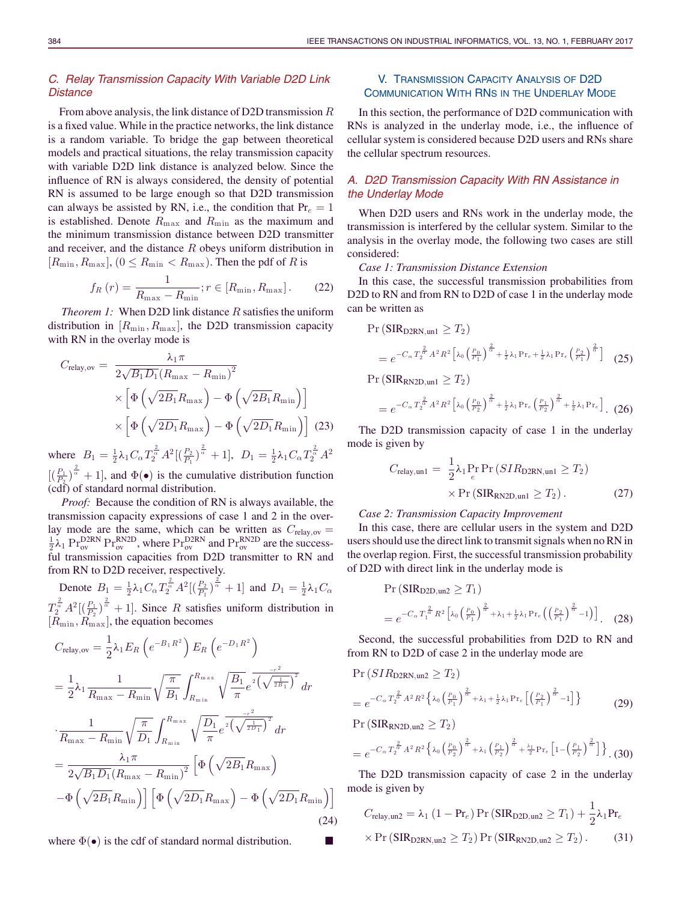# *C. Relay Transmission Capacity With Variable D2D Link Distance*

From above analysis, the link distance of D2D transmission R is a fixed value. While in the practice networks, the link distance is a random variable. To bridge the gap between theoretical models and practical situations, the relay transmission capacity with variable D2D link distance is analyzed below. Since the influence of RN is always considered, the density of potential RN is assumed to be large enough so that D2D transmission can always be assisted by RN, i.e., the condition that  $Pr_e = 1$ is established. Denote  $R_{\text{max}}$  and  $R_{\text{min}}$  as the maximum and the minimum transmission distance between D2D transmitter and receiver, and the distance R obeys uniform distribution in  $[R_{\min}, R_{\max}]$ ,  $(0 \le R_{\min} < R_{\max})$ . Then the pdf of R is

$$
f_R(r) = \frac{1}{R_{\text{max}} - R_{\text{min}}}; r \in [R_{\text{min}}, R_{\text{max}}].
$$
 (22)

*Theorem 1:* When D2D link distance R satisfies the uniform distribution in  $[R_{\min}, R_{\max}]$ , the D2D transmission capacity with RN in the overlay mode is

$$
C_{\text{relay,ov}} = \frac{\lambda_1 \pi}{2\sqrt{B_1 D_1} (R_{\text{max}} - R_{\text{min}})^2}
$$

$$
\times \left[ \Phi \left( \sqrt{2B_1} R_{\text{max}} \right) - \Phi \left( \sqrt{2B_1} R_{\text{min}} \right) \right]
$$

$$
\times \left[ \Phi \left( \sqrt{2D_1} R_{\text{max}} \right) - \Phi \left( \sqrt{2D_1} R_{\text{min}} \right) \right] (23)
$$

where  $B_1 = \frac{1}{2}\lambda_1 C_\alpha T_2^{\frac{2}{\alpha}} A^2 \left[\left(\frac{P_2}{P_1}\right)^{\frac{2}{\alpha}} + 1\right], D_1 = \frac{1}{2}\lambda_1 C_\alpha T_2^{\frac{2}{\alpha}} A^2$  $[(\frac{P_1}{P_2})^{\frac{2}{\alpha}}+1]$ , and  $\Phi(\bullet)$  is the cumulative distribution function (cdf) of standard normal distribution.

*Proof:* Because the condition of RN is always available, the transmission capacity expressions of case 1 and 2 in the overlay mode are the same, which can be written as  $C_{\text{relay,ov}} = \frac{1}{2}\lambda_1 \text{ Pr}_{\text{ov}}^{\text{D2RN}} \text{ Pr}_{\text{ov}}^{\text{RN2D}}$ , where  $\text{Pr}_{\text{ov}}^{\text{D2RN}}$  and  $\text{Pr}_{\text{ov}}^{\text{RN2D}}$  are the successful transmission capacities from D2D transmitter to RN and from RN to D2D receiver, respectively.

Denote  $B_1 = \frac{1}{2}\lambda_1 C_\alpha T_2^{\frac{2}{\alpha}} A^2 \left[\left(\frac{P_2}{P_1}\right)^{\frac{2}{\alpha}} + 1\right]$  and  $D_1 = \frac{1}{2}\lambda_1 C_\alpha$  $T_2^{\frac{2}{\alpha}} A^2 \left[\left(\frac{P_1}{P_2}\right)^{\frac{2}{\alpha}} + 1\right]$ . Since R satisfies uniform distribution in  $[R<sub>min</sub>, R<sub>max</sub>]$ , the equation becomes

$$
C_{\text{relay,ov}} = \frac{1}{2} \lambda_1 E_R \left( e^{-B_1 R^2} \right) E_R \left( e^{-D_1 R^2} \right)
$$
  
=  $\frac{1}{2} \lambda_1 \frac{1}{R_{\text{max}} - R_{\text{min}}} \sqrt{\frac{\pi}{B_1}} \int_{R_{\text{min}}}^{R_{\text{max}}} \sqrt{\frac{B_1}{\pi}} e^{-2 \left( \sqrt{\frac{1}{2B_1}} \right)^2} dr$   
 $\cdot \frac{1}{R_{\text{max}} - R_{\text{min}}} \sqrt{\frac{\pi}{D_1}} \int_{R_{\text{min}}}^{R_{\text{max}}} \sqrt{\frac{D_1}{\pi}} e^{-2 \left( \sqrt{\frac{1}{2D_1}} \right)^2} dr$   
=  $\frac{\lambda_1 \pi}{2 \sqrt{B_1 D_1} (R_{\text{max}} - R_{\text{min}})^2} \left[ \Phi \left( \sqrt{2B_1} R_{\text{max}} \right) - \Phi \left( \sqrt{2D_1} R_{\text{min}} \right) \right]$   
=  $\frac{1}{2 \sqrt{B_1 B_1} (R_{\text{min}})} \left[ \Phi \left( \sqrt{2D_1} R_{\text{max}} \right) - \Phi \left( \sqrt{2D_1} R_{\text{min}} \right) \right]$  (24)

where  $\Phi(\bullet)$  is the cdf of standard normal distribution.

# V. TRANSMISSION CAPACITY ANALYSIS OF D2D COMMUNICATION WITH RNS IN THE UNDERLAY MODE

In this section, the performance of D2D communication with RNs is analyzed in the underlay mode, i.e., the influence of cellular system is considered because D2D users and RNs share the cellular spectrum resources.

# *A. D2D Transmission Capacity With RN Assistance in the Underlay Mode*

When D2D users and RNs work in the underlay mode, the transmission is interfered by the cellular system. Similar to the analysis in the overlay mode, the following two cases are still considered:

*Case 1: Transmission Distance Extension*

In this case, the successful transmission probabilities from D2D to RN and from RN to D2D of case 1 in the underlay mode can be written as

$$
\Pr\left(\text{SIR}_{\text{D2RN},\text{un1}} \ge T_2\right) = e^{-C_{\alpha} T_2^{\frac{2}{\alpha}} A^2 R^2 \left[\lambda_0 \left(\frac{P_0}{P_1}\right)^{\frac{2}{\alpha}} + \frac{1}{2}\lambda_1 \Pr_e + \frac{1}{2}\lambda_1 \Pr_e \left(\frac{P_2}{P_1}\right)^{\frac{2}{\alpha}}\right]} \tag{25}
$$

$$
\Pr\left(\text{SIR}_{\text{RN2D},\text{un1}} \ge T_2\right)
$$
\n
$$
= e^{-C_{\alpha} T_2^{\frac{2}{\alpha}} A^2 R^2 \left[\lambda_0 \left(\frac{P_0}{P_2}\right)^{\frac{2}{\alpha}} + \frac{1}{2}\lambda_1 \Pr_e \left(\frac{P_1}{P_2}\right)^{\frac{2}{\alpha}} + \frac{1}{2}\lambda_1 \Pr_e\right]}.
$$
\n(26)

The D2D transmission capacity of case 1 in the underlay mode is given by

$$
C_{\text{relay,un1}} = \frac{1}{2} \lambda_1 \Pr_e \Pr\left(SIR_{\text{D2RN,un1}} \ge T_2\right) \times \Pr\left(SIR_{\text{RN2D,un1}} \ge T_2\right). \tag{27}
$$

#### *Case 2: Transmission Capacity Improvement*

In this case, there are cellular users in the system and D2D users should use the direct link to transmit signals when no RN in the overlap region. First, the successful transmission probability of D2D with direct link in the underlay mode is

$$
\Pr\left(\text{SIR}_{\text{D2D},\text{un2}} \ge T_1\right)
$$
\n
$$
= e^{-C_{\alpha} T_1^{\frac{2}{\alpha}} R^2 \left[ \lambda_0 \left( \frac{P_0}{P_1} \right)^{\frac{2}{\alpha}} + \lambda_1 + \frac{1}{2} \lambda_1 \Pr_e \left( \left( \frac{P_2}{P_1} \right)^{\frac{2}{\alpha}} - 1 \right) \right]}.
$$
\n(28)

Second, the successful probabilities from D2D to RN and from RN to D2D of case 2 in the underlay mode are

$$
\Pr\left(SIR_{\text{D2RN},\text{un2}} \ge T_2\right)
$$
\n
$$
= e^{-C_{\alpha} T_2^{\frac{2}{\alpha}} A^2 R^2 \left\{\lambda_0 \left(\frac{P_0}{P_1}\right)^{\frac{2}{\alpha}} + \lambda_1 + \frac{1}{2}\lambda_1 \Pr_e \left[\left(\frac{P_2}{P_1}\right)^{\frac{2}{\alpha}} - 1\right] \right\}}
$$
\n
$$
\Pr\left(SIR_{\text{RN2D},\text{un2}} \ge T_2\right)
$$
\n(29)

$$
=e^{-C_{\alpha}T_{2}^{\frac{2}{\alpha}}A^{2}R^{2}\left\{\lambda_{0}\left(\frac{P_{0}}{P_{2}}\right)^{\frac{2}{\alpha}}+\lambda_{1}\left(\frac{P_{1}}{P_{2}}\right)^{\frac{2}{\alpha}}+\frac{\lambda_{1}}{2}\Pr_{e}\left[1-\left(\frac{P_{1}}{P_{2}}\right)^{\frac{2}{\alpha}}\right]\right\}}.(30)
$$

The D2D transmission capacity of case 2 in the underlay mode is given by

$$
C_{\text{relay,un2}} = \lambda_1 (1 - \text{Pr}_e) \Pr\left(\text{SIR}_{\text{D2D,un2}} \ge T_1\right) + \frac{1}{2} \lambda_1 \text{Pr}_e
$$
  
× 
$$
\times \Pr\left(\text{SIR}_{\text{D2RN,un2}} \ge T_2\right) \Pr\left(\text{SIR}_{\text{RN2D,un2}} \ge T_2\right).
$$
 (31)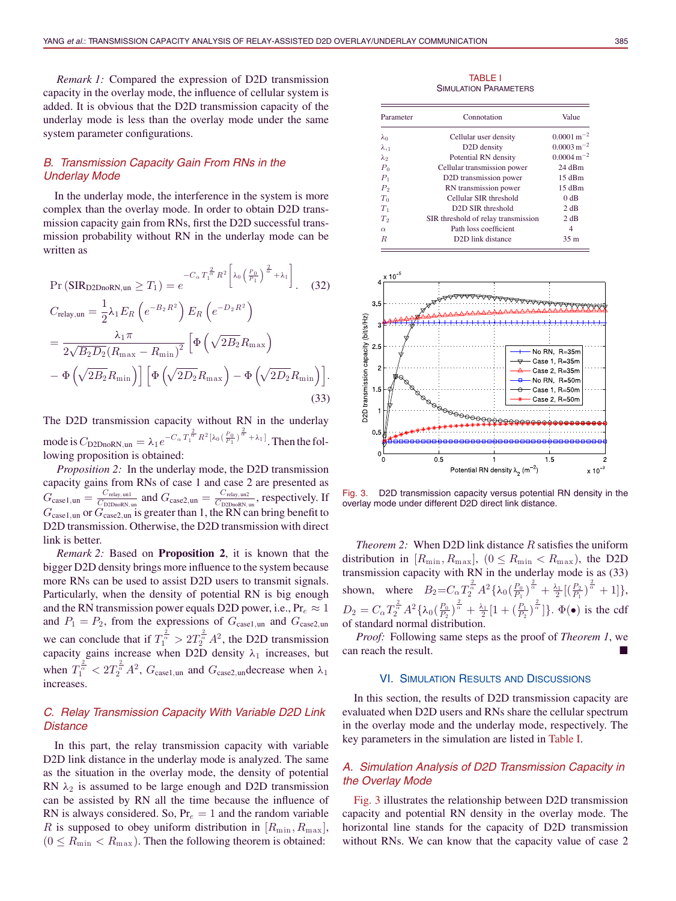*Remark 1:* Compared the expression of D2D transmission capacity in the overlay mode, the influence of cellular system is added. It is obvious that the D2D transmission capacity of the underlay mode is less than the overlay mode under the same system parameter configurations.

# *B. Transmission Capacity Gain From RNs in the Underlay Mode*

In the underlay mode, the interference in the system is more complex than the overlay mode. In order to obtain D2D transmission capacity gain from RNs, first the D2D successful transmission probability without RN in the underlay mode can be written as

$$
\Pr\left(\text{SIR}_{\text{D2DnoRN},un} \geq T_1\right) = e^{-C_\alpha T_1^{\frac{2}{\alpha}} R^2 \left[\lambda_0 \left(\frac{P_0}{P_1}\right)^{\frac{2}{\alpha}} + \lambda_1\right]}.\tag{32}
$$

$$
C_{\text{relay,un}} = \frac{1}{2} \lambda_1 E_R \left( e^{-B_2 R^2} \right) E_R \left( e^{-D_2 R^2} \right)
$$
  
= 
$$
\frac{\lambda_1 \pi}{2 \sqrt{B_2 D_2 (R_{\text{max}} - R_{\text{min}})^2}} \left[ \Phi \left( \sqrt{2B_2} R_{\text{max}} \right) - \Phi \left( \sqrt{2B_2} R_{\text{min}} \right) \right] \left[ \Phi \left( \sqrt{2D_2} R_{\text{max}} \right) - \Phi \left( \sqrt{2D_2} R_{\text{min}} \right) \right].
$$
  
(33)

The D2D transmission capacity without RN in the underlay mode is  $C_{\text{D2DnoRN},un} = \lambda_1 e^{-C_{\alpha} T_1^{\frac{2}{\alpha}} R^2 [\lambda_0 (\frac{P_0}{P_1})^{\frac{2}{\alpha}} + \lambda_1]}$ . Then the following proposition is obtained:

*Proposition 2:* In the underlay mode, the D2D transmission capacity gains from RNs of case 1 and case 2 are presented as  $G_{\text{case1},\text{un}} = \frac{C_{\text{relay},\text{un1}}}{C_{\text{D2DnoRN},\text{un}}}$  and  $G_{\text{case2},\text{un}} = \frac{C_{\text{relay},\text{un2}}}{C_{\text{D2DnoRN},\text{un}}},$  respectively. If  $G_{\text{case1},\text{un}}$  or  $G_{\text{case2},\text{un}}$  is greater than 1, the RN can bring benefit to D2D transmission. Otherwise, the D2D transmission with direct link is better.

*Remark 2:* Based on **Proposition 2**, it is known that the bigger D2D density brings more influence to the system because more RNs can be used to assist D2D users to transmit signals. Particularly, when the density of potential RN is big enough and the RN transmission power equals D2D power, i.e.,  $Pr_e \approx 1$ and  $P_1 = P_2$ , from the expressions of  $G_{\text{case1},\text{un}}$  and  $G_{\text{case2},\text{un}}$ we can conclude that if  $T_1^{\frac{2}{\alpha}} > 2T_2^{\frac{2}{\alpha}} A^2$ , the D2D transmission capacity gains increase when D2D density  $\lambda_1$  increases, but when  $T_1^{\frac{2}{\alpha}} < 2T_2^{\frac{2}{\alpha}} A^2$ ,  $G_{\text{case1}, \text{un}}$  and  $G_{\text{case2}, \text{un}}$  decrease when  $\lambda_1$ increases.

# *C. Relay Transmission Capacity With Variable D2D Link Distance*

In this part, the relay transmission capacity with variable D2D link distance in the underlay mode is analyzed. The same as the situation in the overlay mode, the density of potential RN  $\lambda_2$  is assumed to be large enough and D2D transmission can be assisted by RN all the time because the influence of RN is always considered. So,  $Pr_e = 1$  and the random variable R is supposed to obey uniform distribution in  $[R_{\min}, R_{\max}]$ ,  $(0 \le R_{\min} < R_{\max})$ . Then the following theorem is obtained:

TABLE I SIMULATION PARAMETERS

| Parameter      | Connotation                         | Value                      |
|----------------|-------------------------------------|----------------------------|
| $\lambda_0$    | Cellular user density               | $0.0001 \text{ m}^{-2}$    |
| $\lambda_{11}$ | D <sub>2</sub> D density            | $0.0003 \,\mathrm{m}^{-2}$ |
| $\lambda_2$    | Potential RN density                | $0.0004 \,\mathrm{m}^{-2}$ |
| $P_0$          | Cellular transmission power         | 24 dBm                     |
| $P_1$          | D2D transmission power              | $15$ dBm                   |
| P <sub>2</sub> | RN transmission power               | $15$ dBm                   |
| $T_0$          | Cellular SIR threshold              | 0 dB                       |
| $T_1$          | D <sub>2</sub> D SIR threshold      | 2 dB                       |
| T <sub>2</sub> | SIR threshold of relay transmission | 2 dB                       |
| $\alpha$       | Path loss coefficient               | 4                          |
| R              | D <sub>2</sub> D link distance      | 35 <sub>m</sub>            |



Fig. 3. D2D transmission capacity versus potential RN density in the overlay mode under different D2D direct link distance.

*Theorem 2:* When D2D link distance R satisfies the uniform distribution in  $[R_{\min}, R_{\max}]$ ,  $(0 \le R_{\min} < R_{\max})$ , the D2D transmission capacity with RN in the underlay mode is as (33) shown, where  $B_2 = C_\alpha T_2^{\frac{2}{\alpha}} A^2 \{ \lambda_0 \left( \frac{P_0}{P_1} \right)^{\frac{2}{\alpha}} + \frac{\lambda_1}{2} \left[ \left( \frac{P_2}{P_1} \right)^{\frac{2}{\alpha}} + 1 \right] \},$  $D_2 = C_\alpha T_2^{\frac{2}{\alpha}} A^2 \{\lambda_0 \left(\frac{P_0}{P_2}\right)^{\frac{2}{\alpha}} + \frac{\lambda_1}{2} [1 + \left(\frac{P_1}{P_2}\right)^{\frac{2}{\alpha}}]\}.$   $\Phi(\bullet)$  is the cdf of standard normal distribution.

*Proof:* Following same steps as the proof of *Theorem 1*, we can reach the result.

#### VI. SIMULATION RESULTS AND DISCUSSIONS

In this section, the results of D2D transmission capacity are evaluated when D2D users and RNs share the cellular spectrum in the overlay mode and the underlay mode, respectively. The key parameters in the simulation are listed in Table I.

## *A. Simulation Analysis of D2D Transmission Capacity in the Overlay Mode*

Fig. 3 illustrates the relationship between D2D transmission capacity and potential RN density in the overlay mode. The horizontal line stands for the capacity of D2D transmission without RNs. We can know that the capacity value of case 2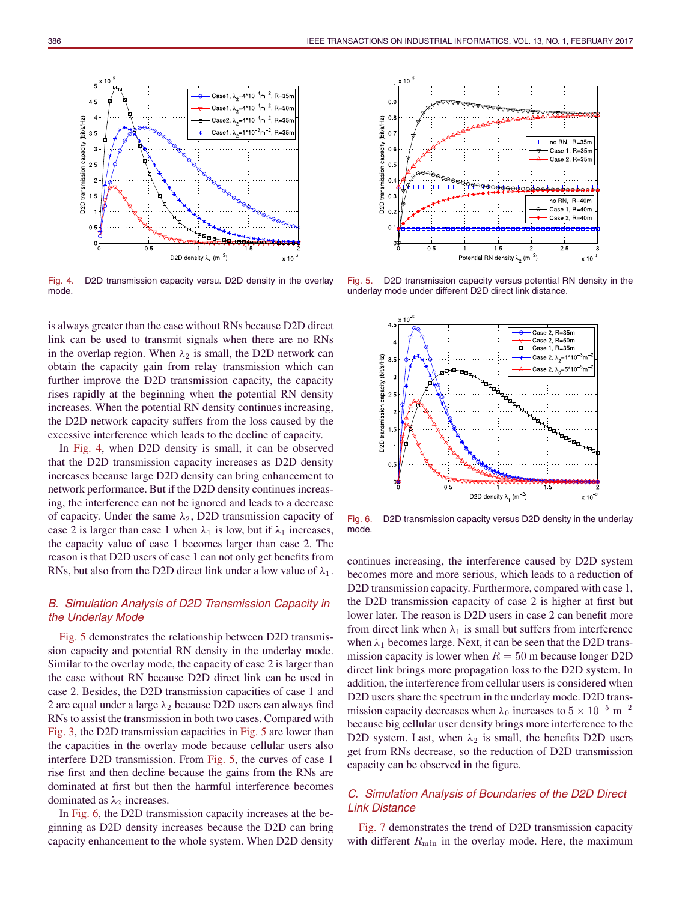

Fig. 4. D2D transmission capacity versu. D2D density in the overlay mode.

is always greater than the case without RNs because D2D direct link can be used to transmit signals when there are no RNs in the overlap region. When  $\lambda_2$  is small, the D2D network can obtain the capacity gain from relay transmission which can further improve the D2D transmission capacity, the capacity rises rapidly at the beginning when the potential RN density increases. When the potential RN density continues increasing, the D2D network capacity suffers from the loss caused by the excessive interference which leads to the decline of capacity.

In Fig. 4, when D2D density is small, it can be observed that the D2D transmission capacity increases as D2D density increases because large D2D density can bring enhancement to network performance. But if the D2D density continues increasing, the interference can not be ignored and leads to a decrease of capacity. Under the same  $\lambda_2$ , D2D transmission capacity of case 2 is larger than case 1 when  $\lambda_1$  is low, but if  $\lambda_1$  increases, the capacity value of case 1 becomes larger than case 2. The reason is that D2D users of case 1 can not only get benefits from RNs, but also from the D2D direct link under a low value of  $\lambda_1$ .

# *B. Simulation Analysis of D2D Transmission Capacity in the Underlay Mode*

Fig. 5 demonstrates the relationship between D2D transmission capacity and potential RN density in the underlay mode. Similar to the overlay mode, the capacity of case 2 is larger than the case without RN because D2D direct link can be used in case 2. Besides, the D2D transmission capacities of case 1 and 2 are equal under a large  $\lambda_2$  because D2D users can always find RNs to assist the transmission in both two cases. Compared with Fig. 3, the D2D transmission capacities in Fig. 5 are lower than the capacities in the overlay mode because cellular users also interfere D2D transmission. From Fig. 5, the curves of case 1 rise first and then decline because the gains from the RNs are dominated at first but then the harmful interference becomes dominated as  $\lambda_2$  increases.

In Fig. 6, the D2D transmission capacity increases at the beginning as D2D density increases because the D2D can bring capacity enhancement to the whole system. When D2D density



Fig. 5. D2D transmission capacity versus potential RN density in the underlay mode under different D2D direct link distance.



Fig. 6. D2D transmission capacity versus D2D density in the underlay mode.

continues increasing, the interference caused by D2D system becomes more and more serious, which leads to a reduction of D2D transmission capacity. Furthermore, compared with case 1, the D2D transmission capacity of case 2 is higher at first but lower later. The reason is D2D users in case 2 can benefit more from direct link when  $\lambda_1$  is small but suffers from interference when  $\lambda_1$  becomes large. Next, it can be seen that the D2D transmission capacity is lower when  $R = 50$  m because longer D2D direct link brings more propagation loss to the D2D system. In addition, the interference from cellular users is considered when D2D users share the spectrum in the underlay mode. D2D transmission capacity decreases when  $\lambda_0$  increases to  $5 \times 10^{-5}$  m<sup>-2</sup> because big cellular user density brings more interference to the D2D system. Last, when  $\lambda_2$  is small, the benefits D2D users get from RNs decrease, so the reduction of D2D transmission capacity can be observed in the figure.

# *C. Simulation Analysis of Boundaries of the D2D Direct Link Distance*

Fig. 7 demonstrates the trend of D2D transmission capacity with different  $R_{\min}$  in the overlay mode. Here, the maximum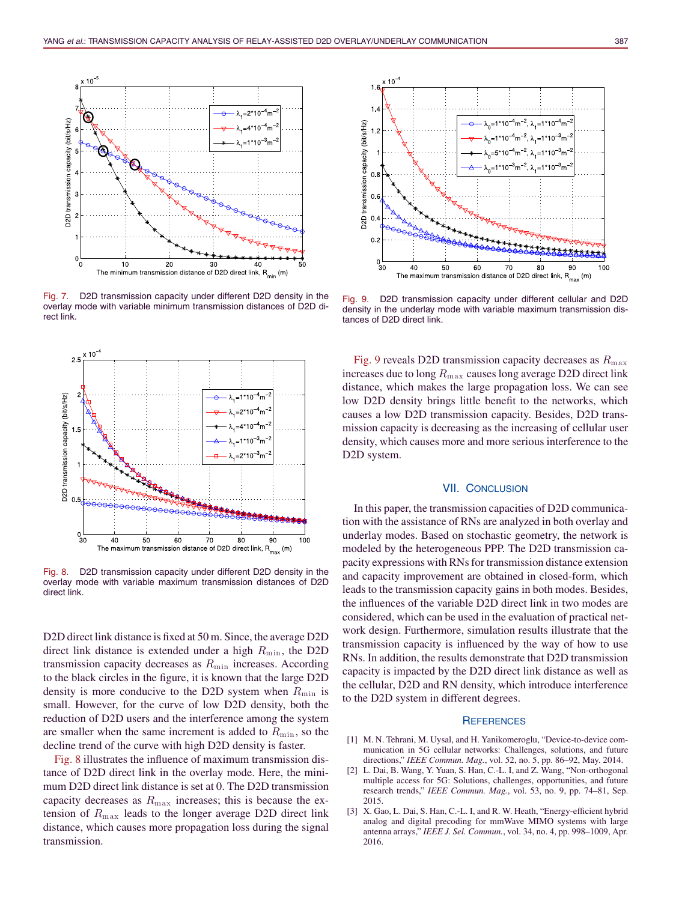

Fig. 7. D2D transmission capacity under different D2D density in the overlay mode with variable minimum transmission distances of D2D direct link.



Fig. 8. D2D transmission capacity under different D2D density in the overlay mode with variable maximum transmission distances of D2D direct link.

D2D direct link distance is fixed at 50 m. Since, the average D2D direct link distance is extended under a high  $R_{\text{min}}$ , the D2D transmission capacity decreases as  $R_{\text{min}}$  increases. According to the black circles in the figure, it is known that the large D2D density is more conducive to the D2D system when  $R_{\text{min}}$  is small. However, for the curve of low D2D density, both the reduction of D2D users and the interference among the system are smaller when the same increment is added to  $R_{\text{min}}$ , so the decline trend of the curve with high D2D density is faster.

Fig. 8 illustrates the influence of maximum transmission distance of D2D direct link in the overlay mode. Here, the minimum D2D direct link distance is set at 0. The D2D transmission capacity decreases as  $R_{\text{max}}$  increases; this is because the extension of  $R_{\text{max}}$  leads to the longer average D2D direct link distance, which causes more propagation loss during the signal transmission.



Fig. 9. D2D transmission capacity under different cellular and D2D density in the underlay mode with variable maximum transmission distances of D2D direct link.

Fig. 9 reveals D2D transmission capacity decreases as  $R_{\text{max}}$ increases due to long  $R_{\text{max}}$  causes long average D2D direct link distance, which makes the large propagation loss. We can see low D2D density brings little benefit to the networks, which causes a low D2D transmission capacity. Besides, D2D transmission capacity is decreasing as the increasing of cellular user density, which causes more and more serious interference to the D2D system.

#### VII. CONCLUSION

In this paper, the transmission capacities of D2D communication with the assistance of RNs are analyzed in both overlay and underlay modes. Based on stochastic geometry, the network is modeled by the heterogeneous PPP. The D2D transmission capacity expressions with RNs for transmission distance extension and capacity improvement are obtained in closed-form, which leads to the transmission capacity gains in both modes. Besides, the influences of the variable D2D direct link in two modes are considered, which can be used in the evaluation of practical network design. Furthermore, simulation results illustrate that the transmission capacity is influenced by the way of how to use RNs. In addition, the results demonstrate that D2D transmission capacity is impacted by the D2D direct link distance as well as the cellular, D2D and RN density, which introduce interference to the D2D system in different degrees.

#### **REFERENCES**

- [1] M. N. Tehrani, M. Uysal, and H. Yanikomeroglu, "Device-to-device communication in 5G cellular networks: Challenges, solutions, and future directions," *IEEE Commun. Mag.*, vol. 52, no. 5, pp. 86–92, May. 2014.
- [2] L. Dai, B. Wang, Y. Yuan, S. Han, C.-L. I, and Z. Wang, "Non-orthogonal multiple access for 5G: Solutions, challenges, opportunities, and future research trends," *IEEE Commun. Mag.*, vol. 53, no. 9, pp. 74–81, Sep. 2015.
- [3] X. Gao, L. Dai, S. Han, C.-L. I, and R. W. Heath, "Energy-efficient hybrid analog and digital precoding for mmWave MIMO systems with large antenna arrays," *IEEE J. Sel. Commun.*, vol. 34, no. 4, pp. 998–1009, Apr. 2016.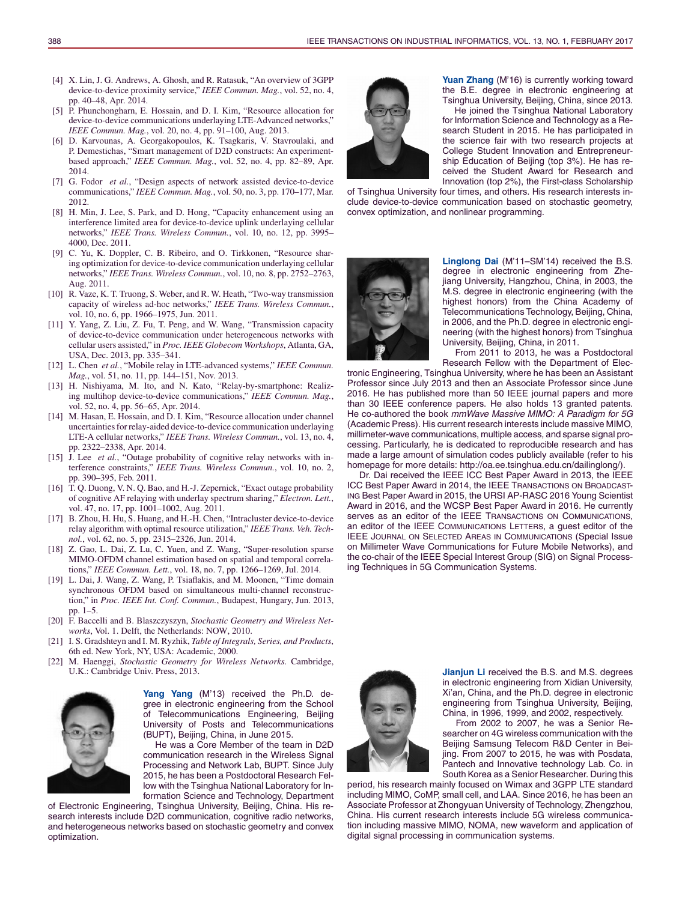- [4] X. Lin, J. G. Andrews, A. Ghosh, and R. Ratasuk, "An overview of 3GPP device-to-device proximity service," *IEEE Commun. Mag.*, vol. 52, no. 4, pp. 40–48, Apr. 2014.
- [5] P. Phunchongharn, E. Hossain, and D. I. Kim, "Resource allocation for device-to-device communications underlaying LTE-Advanced networks," *IEEE Commun. Mag.*, vol. 20, no. 4, pp. 91–100, Aug. 2013.
- [6] D. Karvounas, A. Georgakopoulos, K. Tsagkaris, V. Stavroulaki, and P. Demestichas, "Smart management of D2D constructs: An experimentbased approach," *IEEE Commun. Mag.*, vol. 52, no. 4, pp. 82–89, Apr. 2014.
- [7] G. Fodor *et al.*, "Design aspects of network assisted device-to-device communications," *IEEE Commun. Mag.*, vol. 50, no. 3, pp. 170–177, Mar. 2012.
- [8] H. Min, J. Lee, S. Park, and D. Hong, "Capacity enhancement using an interference limited area for device-to-device uplink underlaying cellular networks," *IEEE Trans. Wireless Commun.*, vol. 10, no. 12, pp. 3995– 4000, Dec. 2011.
- [9] C. Yu, K. Doppler, C. B. Ribeiro, and O. Tirkkonen, "Resource sharing optimization for device-to-device communication underlaying cellular networks," *IEEE Trans. Wireless Commun.*, vol. 10, no. 8, pp. 2752–2763, Aug. 2011.
- [10] R. Vaze, K. T. Truong, S. Weber, and R. W. Heath, "Two-way transmission capacity of wireless ad-hoc networks," *IEEE Trans. Wireless Commun.*, vol. 10, no. 6, pp. 1966–1975, Jun. 2011.
- [11] Y. Yang, Z. Liu, Z. Fu, T. Peng, and W. Wang, "Transmission capacity of device-to-device communication under heterogeneous networks with cellular users assisted," in *Proc. IEEE Globecom Workshops*, Atlanta, GA, USA, Dec. 2013, pp. 335–341.
- [12] L. Chen *et al.*, "Mobile relay in LTE-advanced systems," *IEEE Commun. Mag.*, vol. 51, no. 11, pp. 144–151, Nov. 2013.
- [13] H. Nishiyama, M. Ito, and N. Kato, "Relay-by-smartphone: Realizing multihop device-to-device communications," *IEEE Commun. Mag.*, vol. 52, no. 4, pp. 56–65, Apr. 2014.
- [14] M. Hasan, E. Hossain, and D. I. Kim, "Resource allocation under channel uncertainties for relay-aided device-to-device communication underlaying LTE-A cellular networks," *IEEE Trans. Wireless Commun.*, vol. 13, no. 4, pp. 2322–2338, Apr. 2014.
- [15] J. Lee *et al.*, "Outage probability of cognitive relay networks with interference constraints," *IEEE Trans. Wireless Commun.*, vol. 10, no. 2, pp. 390–395, Feb. 2011.
- [16] T. Q. Duong, V. N. Q. Bao, and H.-J. Zepernick, "Exact outage probability of cognitive AF relaying with underlay spectrum sharing," *Electron. Lett.*, vol. 47, no. 17, pp. 1001–1002, Aug. 2011.
- [17] B. Zhou, H. Hu, S. Huang, and H.-H. Chen, "Intracluster device-to-device relay algorithm with optimal resource utilization," *IEEE Trans. Veh. Technol.*, vol. 62, no. 5, pp. 2315–2326, Jun. 2014.
- [18] Z. Gao, L. Dai, Z. Lu, C. Yuen, and Z. Wang, "Super-resolution sparse MIMO-OFDM channel estimation based on spatial and temporal correlations," *IEEE Commun. Lett.*, vol. 18, no. 7, pp. 1266–1269, Jul. 2014.
- [19] L. Dai, J. Wang, Z. Wang, P. Tsiaflakis, and M. Moonen, "Time domain synchronous OFDM based on simultaneous multi-channel reconstruction," in *Proc. IEEE Int. Conf. Commun.*, Budapest, Hungary, Jun. 2013, pp. 1–5.
- [20] F. Baccelli and B. Blaszczyszyn, *Stochastic Geometry and Wireless Networks*, Vol. 1. Delft, the Netherlands: NOW, 2010.
- [21] I. S. Gradshteyn and I. M. Ryzhik, *Table of Integrals, Series, and Products*, 6th ed. New York, NY, USA: Academic, 2000.
- [22] M. Haenggi, *Stochastic Geometry for Wireless Networks.* Cambridge, U.K.: Cambridge Univ. Press, 2013.



**Yang Yang** (M'13) received the Ph.D. degree in electronic engineering from the School of Telecommunications Engineering, Beijing University of Posts and Telecommunications (BUPT), Beijing, China, in June 2015.

He was a Core Member of the team in D2D communication research in the Wireless Signal Processing and Network Lab, BUPT. Since July 2015, he has been a Postdoctoral Research Fellow with the Tsinghua National Laboratory for Information Science and Technology, Department

of Electronic Engineering, Tsinghua University, Beijing, China. His research interests include D2D communication, cognitive radio networks, and heterogeneous networks based on stochastic geometry and convex optimization.



**Yuan Zhang** (M'16) is currently working toward the B.E. degree in electronic engineering at Tsinghua University, Beijing, China, since 2013.

He joined the Tsinghua National Laboratory for Information Science and Technology as a Research Student in 2015. He has participated in the science fair with two research projects at College Student Innovation and Entrepreneurship Education of Beijing (top 3%). He has received the Student Award for Research and Innovation (top 2%), the First-class Scholarship

of Tsinghua University four times, and others. His research interests include device-to-device communication based on stochastic geometry, convex optimization, and nonlinear programming.



**Linglong Dai** (M'11–SM'14) received the B.S. degree in electronic engineering from Zhejiang University, Hangzhou, China, in 2003, the M.S. degree in electronic engineering (with the highest honors) from the China Academy of Telecommunications Technology, Beijing, China, in 2006, and the Ph.D. degree in electronic engineering (with the highest honors) from Tsinghua University, Beijing, China, in 2011.

From 2011 to 2013, he was a Postdoctoral Research Fellow with the Department of Elec-

tronic Engineering, Tsinghua University, where he has been an Assistant Professor since July 2013 and then an Associate Professor since June 2016. He has published more than 50 IEEE journal papers and more than 30 IEEE conference papers. He also holds 13 granted patents. He co-authored the book *mmWave Massive MIMO: A Paradigm for 5G* (Academic Press). His current research interests include massive MIMO, millimeter-wave communications, multiple access, and sparse signal processing. Particularly, he is dedicated to reproducible research and has made a large amount of simulation codes publicly available (refer to his homepage for more details: http://oa.ee.tsinghua.edu.cn/dailinglong/).

Dr. Dai received the IEEE ICC Best Paper Award in 2013, the IEEE ICC Best Paper Award in 2014, the IEEE TRANSACTIONS ON BROADCAST-ING Best Paper Award in 2015, the URSI AP-RASC 2016 Young Scientist Award in 2016, and the WCSP Best Paper Award in 2016. He currently serves as an editor of the IEEE TRANSACTIONS ON COMMUNICATIONS, an editor of the IEEE COMMUNICATIONS LETTERS, a guest editor of the IEEE JOURNAL ON SELECTED AREAS IN COMMUNICATIONS (Special Issue on Millimeter Wave Communications for Future Mobile Networks), and the co-chair of the IEEE Special Interest Group (SIG) on Signal Processing Techniques in 5G Communication Systems.



**Jianjun Li** received the B.S. and M.S. degrees in electronic engineering from Xidian University, Xi'an, China, and the Ph.D. degree in electronic engineering from Tsinghua University, Beijing, China, in 1996, 1999, and 2002, respectively.

From 2002 to 2007, he was a Senior Researcher on 4G wireless communication with the Beijing Samsung Telecom R&D Center in Beijing. From 2007 to 2015, he was with Posdata, Pantech and Innovative technology Lab. Co. in South Korea as a Senior Researcher. During this

period, his research mainly focused on Wimax and 3GPP LTE standard including MIMO, CoMP, small cell, and LAA. Since 2016, he has been an Associate Professor at Zhongyuan University of Technology, Zhengzhou, China. His current research interests include 5G wireless communication including massive MIMO, NOMA, new waveform and application of digital signal processing in communication systems.